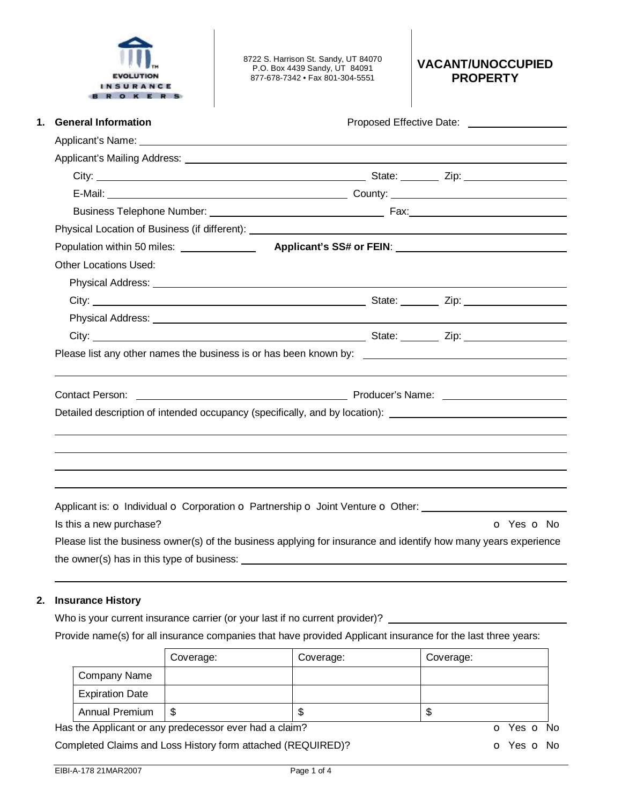

8722 S. Harrison St. Sandy, UT 84070 P.O. Box 4439 Sandy, UT 84091 877-678-7342 • Fax 801-304-5551

**VACANT/UNOCCUPIED PROPERTY** 

| <b>General Information</b>   | Proposed Effective Date: ____________________                                                                                                                                                                                        |
|------------------------------|--------------------------------------------------------------------------------------------------------------------------------------------------------------------------------------------------------------------------------------|
|                              |                                                                                                                                                                                                                                      |
|                              |                                                                                                                                                                                                                                      |
|                              |                                                                                                                                                                                                                                      |
|                              |                                                                                                                                                                                                                                      |
|                              |                                                                                                                                                                                                                                      |
|                              |                                                                                                                                                                                                                                      |
|                              | Population within 50 miles: <b>Applicant's SS# or FEIN</b> : <b>Notify 19 and SO miles:</b> Appl <b>icant's SS# or FEIN</b> :                                                                                                        |
| <b>Other Locations Used:</b> |                                                                                                                                                                                                                                      |
|                              |                                                                                                                                                                                                                                      |
|                              |                                                                                                                                                                                                                                      |
|                              | Physical Address: <u>New York: New York: New York: New York: New York: New York: New York: New York: New York: New York: New York: New York: New York: New York: New York: New York: New York: New York: New York: New York: New</u> |
|                              |                                                                                                                                                                                                                                      |
|                              |                                                                                                                                                                                                                                      |
|                              | Contact Person: <u>Contact Person:</u> Contact Person: Contact Person: Contact Person:                                                                                                                                               |
|                              | Detailed description of intended occupancy (specifically, and by location): _______________________                                                                                                                                  |
|                              |                                                                                                                                                                                                                                      |
|                              |                                                                                                                                                                                                                                      |
|                              |                                                                                                                                                                                                                                      |
|                              |                                                                                                                                                                                                                                      |
|                              | Applicant is: o Individual o Corporation o Partnership o Joint Venture o Other: ____________________                                                                                                                                 |
| Is this a new purchase?      | O Yes O No                                                                                                                                                                                                                           |
|                              | Please list the business owner(s) of the business applying for insurance and identify how many years experience                                                                                                                      |

the owner(s) has in this type of business:

# **2. Insurance History**

Who is your current insurance carrier (or your last if no current provider)? \_\_\_\_\_\_\_\_\_

Provide name(s) for all insurance companies that have provided Applicant insurance for the last three years:

|                        | Coverage:                                              | Coverage: | Coverage:  |
|------------------------|--------------------------------------------------------|-----------|------------|
| Company Name           |                                                        |           |            |
| <b>Expiration Date</b> |                                                        |           |            |
| Annual Premium         | -S                                                     | S         | Ф          |
|                        | Has the Applicant or any predecessor ever had a claim? |           | o Yes o No |

Completed Claims and Loss History form attached (REQUIRED)? **O** Yes **o** No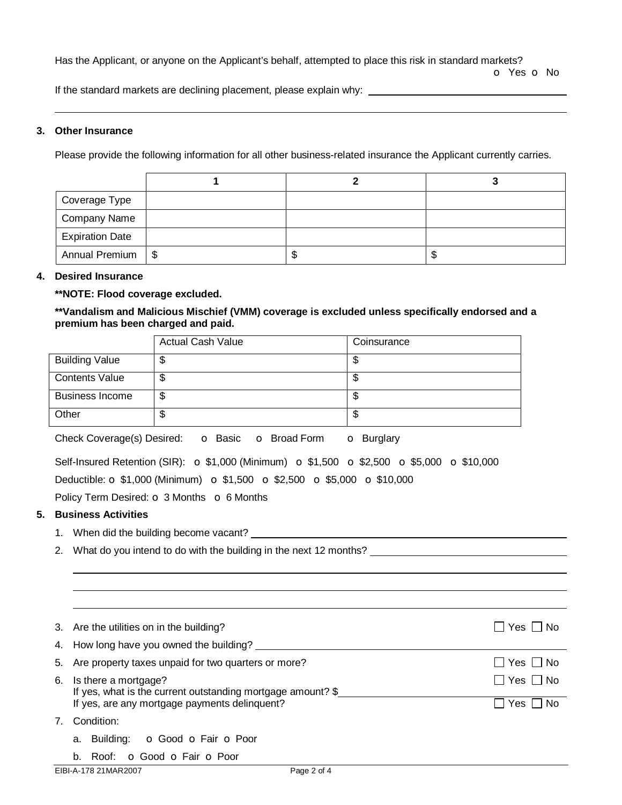Has the Applicant, or anyone on the Applicant's behalf, attempted to place this risk in standard markets?

o Yes o No

If the standard markets are declining placement, please explain why:

### **3. Other Insurance**

Please provide the following information for all other business-related insurance the Applicant currently carries.

| Coverage Type          |   |    |
|------------------------|---|----|
| <b>Company Name</b>    |   |    |
| <b>Expiration Date</b> |   |    |
| Annual Premium   \$    | Ф | ۰D |

### **4. Desired Insurance**

## **\*\*NOTE: Flood coverage excluded.**

**\*\*Vandalism and Malicious Mischief (VMM) coverage is excluded unless specifically endorsed and a premium has been charged and paid.** 

|                        | <b>Actual Cash Value</b> | Coinsurance |
|------------------------|--------------------------|-------------|
| <b>Building Value</b>  | ง                        | Φ           |
| <b>Contents Value</b>  | ง                        | Φ           |
| <b>Business Income</b> | ጥ<br>J                   | \$          |
| Other                  | ۰IJ                      | \$          |

Check Coverage(s) Desired: o Basic o Broad Form o Burglary

| Self-Insured Retention (SIR): $\sigma$ \$1,000 (Minimum) $\sigma$ \$1,500 $\sigma$ \$2,500 $\sigma$ \$5,000 $\sigma$ \$10,000 |  |  |  |
|-------------------------------------------------------------------------------------------------------------------------------|--|--|--|
| Deductible: $\sigma$ \$1,000 (Minimum) $\sigma$ \$1,500 $\sigma$ \$2,500 $\sigma$ \$5,000 $\sigma$ \$10,000                   |  |  |  |

Policy Term Desired:  $\circ$  3 Months  $\circ$  6 Months

## **5. Business Activities**

- 1. When did the building become vacant?
- 2. What do you intend to do with the building in the next 12 months? \_\_\_\_\_\_\_\_\_\_\_\_\_\_\_\_\_\_

|    | 3. Are the utilities on in the building?<br>4. How long have you owned the building?  | Yes I I No    |
|----|---------------------------------------------------------------------------------------|---------------|
|    | 5. Are property taxes unpaid for two quarters or more?                                | Yes ∐ No      |
| 6. | Is there a mortgage?<br>If yes, what is the current outstanding mortgage amount? $\S$ | $Yes \Box No$ |
|    | If yes, are any mortgage payments delinquent?                                         | l No<br>Yes   |
| 7. | Condition:                                                                            |               |
|    | o Good o Fair o Poor<br>a. Building:                                                  |               |
|    | Roof: <b>o</b> Good <b>o</b> Fair <b>o</b> Poor<br>b.                                 |               |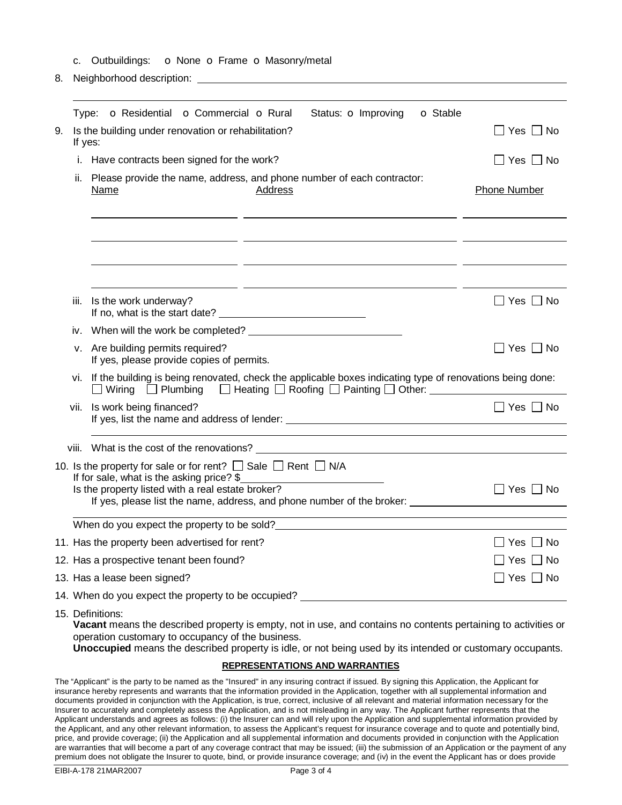- c. Outbuildings: o None o Frame o Masonry/metal
- 8. Neighborhood description:

|      | o Residential o Commercial o Rural<br>Status: <b>o</b> Improving<br><b>o</b> Stable<br>Type:                                                                                                                                                                                                          |                      |  |  |  |
|------|-------------------------------------------------------------------------------------------------------------------------------------------------------------------------------------------------------------------------------------------------------------------------------------------------------|----------------------|--|--|--|
| 9.   | Is the building under renovation or rehabilitation?<br>If yes:                                                                                                                                                                                                                                        | $\Box$ Yes $\Box$ No |  |  |  |
| i.   | Have contracts been signed for the work?                                                                                                                                                                                                                                                              | $\Box$ Yes $\Box$ No |  |  |  |
| ii.  | Please provide the name, address, and phone number of each contractor:<br>Address<br><u>Name</u>                                                                                                                                                                                                      | <b>Phone Number</b>  |  |  |  |
|      |                                                                                                                                                                                                                                                                                                       |                      |  |  |  |
|      |                                                                                                                                                                                                                                                                                                       |                      |  |  |  |
| iii. | Is the work underway?                                                                                                                                                                                                                                                                                 | $\Box$ Yes $\Box$ No |  |  |  |
| iv.  |                                                                                                                                                                                                                                                                                                       |                      |  |  |  |
|      | v. Are building permits required?<br>If yes, please provide copies of permits.                                                                                                                                                                                                                        | $Yes \Box No$        |  |  |  |
|      | vi. If the building is being renovated, check the applicable boxes indicating type of renovations being done:<br>□ Wiring □ Plumbing □ Heating □ Roofing □ Painting □ Other: _________                                                                                                                |                      |  |  |  |
| vii. | Is work being financed?                                                                                                                                                                                                                                                                               | $\Box$ Yes $\Box$ No |  |  |  |
|      | viii. What is the cost of the renovations? Department of the cost of the renovations?                                                                                                                                                                                                                 |                      |  |  |  |
|      | 10. Is the property for sale or for rent? $\Box$ Sale $\Box$ Rent $\Box$ N/A<br>If for sale, what is the asking price? \$<br>Is the property listed with a real estate broker?                                                                                                                        | $\Box$ Yes $\Box$ No |  |  |  |
|      | <u> 1989 - Johann Stoff, deutscher Stoffen und der Stoffen und der Stoffen und der Stoffen und der Stoffen und der</u><br>When do you expect the property to be sold?<br><u> When do you expect the property to be sold?</u>                                                                          |                      |  |  |  |
|      | 11. Has the property been advertised for rent?                                                                                                                                                                                                                                                        | $\Box$ Yes $\Box$ No |  |  |  |
|      | 12. Has a prospective tenant been found?                                                                                                                                                                                                                                                              | Yes $\Box$ No        |  |  |  |
|      | 13. Has a lease been signed?                                                                                                                                                                                                                                                                          | $\Box$ Yes $\Box$ No |  |  |  |
|      | 14. When do you expect the property to be occupied? The manufacturer of the state of the state of the state of                                                                                                                                                                                        |                      |  |  |  |
|      | 15. Definitions:<br>Vacant means the described property is empty, not in use, and contains no contents pertaining to activities or<br>operation customary to occupancy of the business.<br>Unoccupied means the described property is idle, or not being used by its intended or customary occupants. |                      |  |  |  |
|      | <b>REPRESENTATIONS AND WARRANTIES</b>                                                                                                                                                                                                                                                                 |                      |  |  |  |

The "Applicant" is the party to be named as the "Insured" in any insuring contract if issued. By signing this Application, the Applicant for insurance hereby represents and warrants that the information provided in the Application, together with all supplemental information and documents provided in conjunction with the Application, is true, correct, inclusive of all relevant and material information necessary for the Insurer to accurately and completely assess the Application, and is not misleading in any way. The Applicant further represents that the Applicant understands and agrees as follows: (i) the Insurer can and will rely upon the Application and supplemental information provided by the Applicant, and any other relevant information, to assess the Applicant's request for insurance coverage and to quote and potentially bind, price, and provide coverage; (ii) the Application and all supplemental information and documents provided in conjunction with the Application are warranties that will become a part of any coverage contract that may be issued; (iii) the submission of an Application or the payment of any premium does not obligate the Insurer to quote, bind, or provide insurance coverage; and (iv) in the event the Applicant has or does provide